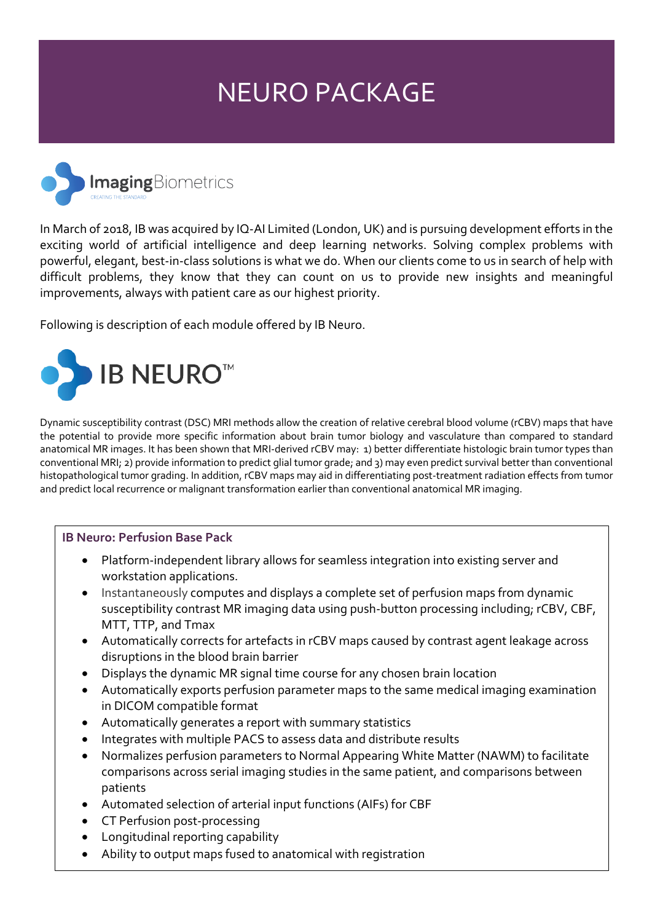# NEURO PACKAGE



In March of 2018, IB was acquired by IQ-AI Limited (London, UK) and is pursuing development efforts in the exciting world of artificial intelligence and deep learning networks. Solving complex problems with powerful, elegant, best-in-class solutions is what we do. When our clients come to us in search of help with difficult problems, they know that they can count on us to provide new insights and meaningful improvements, always with patient care as our highest priority.

Following is description of each module offered by IB Neuro.



Dynamic susceptibility contrast (DSC) MRI methods allow the creation of relative cerebral blood volume (rCBV) maps that have the potential to provide more specific information about brain tumor biology and vasculature than compared to standard anatomical MR images. It has been shown that MRI-derived rCBV may: 1) better differentiate histologic brain tumor types than conventional MRI; 2) provide information to predict glial tumor grade; and 3) may even predict survival better than conventional histopathological tumor grading. In addition, rCBV maps may aid in differentiating post-treatment radiation effects from tumor and predict local recurrence or malignant transformation earlier than conventional anatomical MR imaging.

#### **IB Neuro: Perfusion Base Pack**

- Platform-independent library allows for seamless integration into existing server and workstation applications.
- Instantaneously computes and displays a complete set of perfusion maps from dynamic susceptibility contrast MR imaging data using push-button processing including; rCBV, CBF, MTT, TTP, and Tmax
- Automatically corrects for artefacts in rCBV maps caused by contrast agent leakage across disruptions in the blood brain barrier
- Displays the dynamic MR signal time course for any chosen brain location
- Automatically exports perfusion parameter maps to the same medical imaging examination in DICOM compatible format
- Automatically generates a report with summary statistics
- Integrates with multiple PACS to assess data and distribute results
- Normalizes perfusion parameters to Normal Appearing White Matter (NAWM) to facilitate comparisons across serial imaging studies in the same patient, and comparisons between patients
- Automated selection of arterial input functions (AIFs) for CBF
- CT Perfusion post-processing
- Longitudinal reporting capability
- Ability to output maps fused to anatomical with registration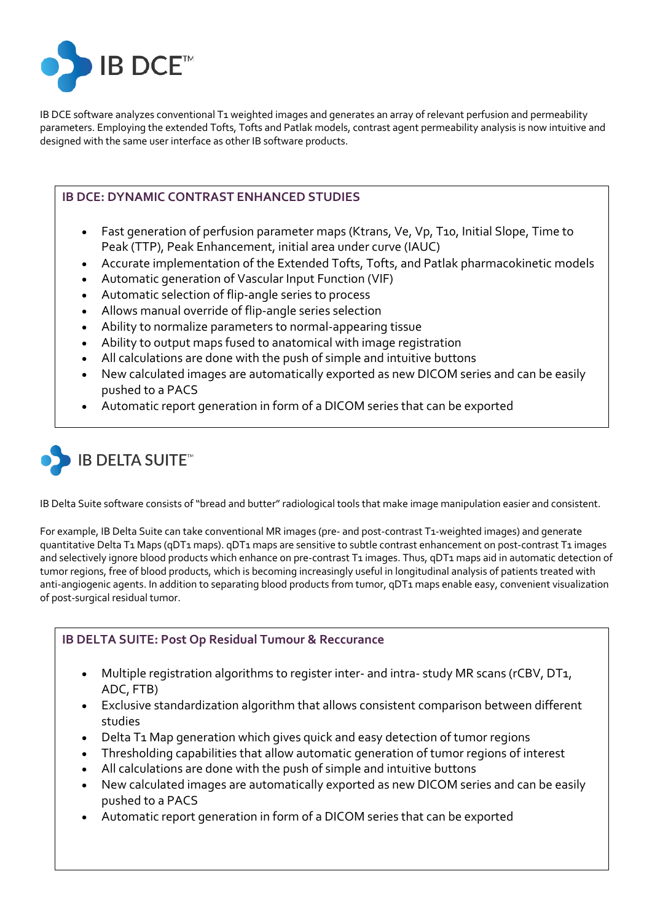

IB DCE software analyzes conventional T1 weighted images and generates an array of relevant perfusion and permeability parameters. Employing the extended Tofts, Tofts and Patlak models, contrast agent permeability analysis is now intuitive and designed with the same user interface as other IB software products.

## **IB DCE: DYNAMIC CONTRAST ENHANCED STUDIES**

- Fast generation of perfusion parameter maps (Ktrans, Ve, Vp, T10, Initial Slope, Time to Peak (TTP), Peak Enhancement, initial area under curve (IAUC)
- Accurate implementation of the Extended Tofts, Tofts, and Patlak pharmacokinetic models
- Automatic generation of Vascular Input Function (VIF)
- Automatic selection of flip-angle series to process
- Allows manual override of flip-angle series selection
- Ability to normalize parameters to normal-appearing tissue
- Ability to output maps fused to anatomical with image registration
- All calculations are done with the push of simple and intuitive buttons
- New calculated images are automatically exported as new DICOM series and can be easily pushed to a PACS
- Automatic report generation in form of a DICOM series that can be exported



IB Delta Suite software consists of "bread and butter" radiological tools that make image manipulation easier and consistent.

For example, IB Delta Suite can take conventional MR images (pre- and post-contrast T1-weighted images) and generate quantitative Delta T1 Maps (qDT1 maps). qDT1 maps are sensitive to subtle contrast enhancement on post-contrast T1 images and selectively ignore blood products which enhance on pre-contrast T1 images. Thus, gDT1 maps aid in automatic detection of tumor regions, free of blood products, which is becoming increasingly useful in longitudinal analysis of patients treated with anti-angiogenic agents. In addition to separating blood products from tumor, gDT1 maps enable easy, convenient visualization of post-surgical residual tumor.

## **IB DELTA SUITE: Post Op Residual Tumour & Reccurance**

- Multiple registration algorithms to register inter- and intra-study MR scans (rCBV, DT1, ADC, FTB)
- Exclusive standardization algorithm that allows consistent comparison between different studies
- Delta T1 Map generation which gives quick and easy detection of tumor regions
- Thresholding capabilities that allow automatic generation of tumor regions of interest
- All calculations are done with the push of simple and intuitive buttons
- New calculated images are automatically exported as new DICOM series and can be easily pushed to a PACS
- Automatic report generation in form of a DICOM series that can be exported